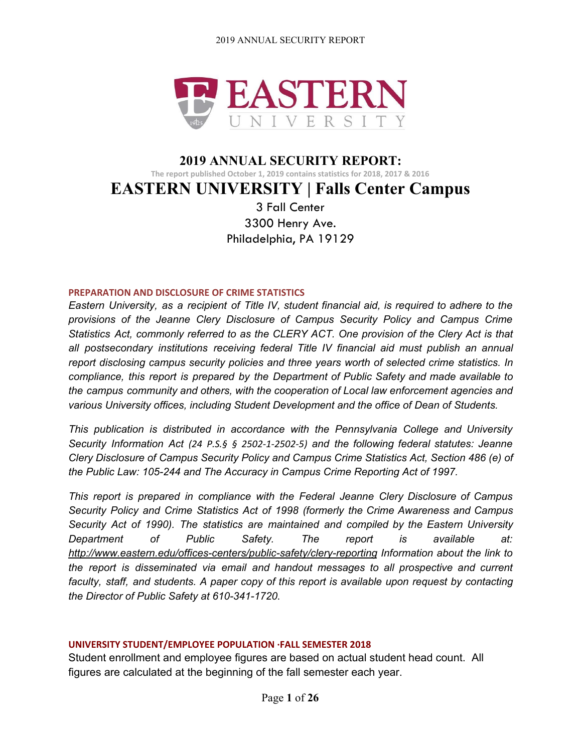

# **2019 ANNUAL SECURITY REPORT: The report published October 1, 2019 contains statistics for 2018, 2017 & 2016 EASTERN UNIVERSITY | Falls Center Campus** 3 Fall Center

3300 Henry Ave. Philadelphia, PA 19129

#### **PREPARATION AND DISCLOSURE OF CRIME STATISTICS**

*Eastern University, as a recipient of Title IV, student financial aid, is required to adhere to the provisions of the Jeanne Clery Disclosure of Campus Security Policy and Campus Crime Statistics Act, commonly referred to as the CLERY ACT. One provision of the Clery Act is that all postsecondary institutions receiving federal Title IV financial aid must publish an annual report disclosing campus security policies and three years worth of selected crime statistics. In compliance, this report is prepared by the Department of Public Safety and made available to the campus community and others, with the cooperation of Local law enforcement agencies and various University offices, including Student Development and the office of Dean of Students.*

*This publication is distributed in accordance with the Pennsylvania College and University Security Information Act (24 P.S.§ § 2502-1-2502-5) and the following federal statutes: Jeanne Clery Disclosure of Campus Security Policy and Campus Crime Statistics Act, Section 486 (e) of the Public Law: 105-244 and The Accuracy in Campus Crime Reporting Act of 1997.*

*This report is prepared in compliance with the Federal Jeanne Clery Disclosure of Campus Security Policy and Crime Statistics Act of 1998 (formerly the Crime Awareness and Campus Security Act of 1990). The statistics are maintained and compiled by the Eastern University Department of Public Safety. The report is available at: <http://www.eastern.edu/offices-centers/public-safety/clery-reporting> Information about the link to the report is disseminated via email and handout messages to all prospective and current faculty, staff, and students. A paper copy of this report is available upon request by contacting the Director of Public Safety at 610-341-1720*.

# **UNIVERSITY STUDENT/EMPLOYEE POPULATION ·FALL SEMESTER 2018**

Student enrollment and employee figures are based on actual student head count. All figures are calculated at the beginning of the fall semester each year.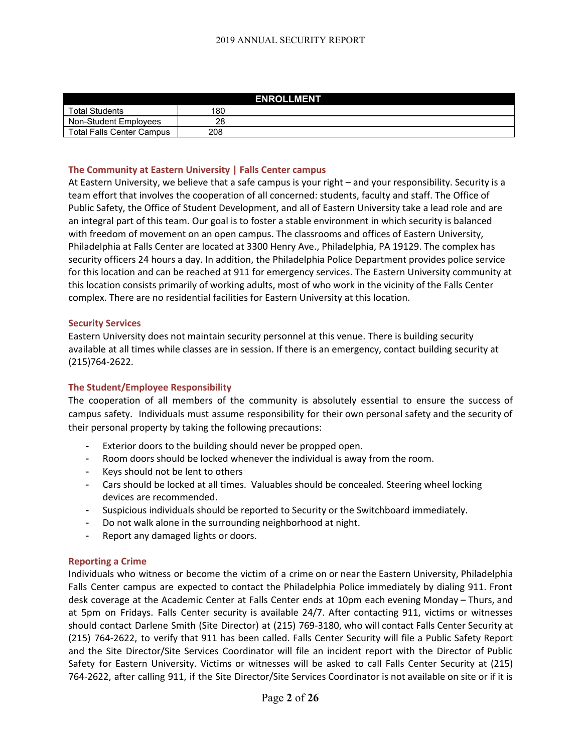| <b>ENROLLMENT</b>                |     |  |  |  |
|----------------------------------|-----|--|--|--|
| <b>Total Students</b>            | 180 |  |  |  |
| Non-Student Employees            | 28  |  |  |  |
| <b>Total Falls Center Campus</b> | 208 |  |  |  |

#### **The Community at Eastern University | Falls Center campus**

At Eastern University, we believe that a safe campus is your right – and your responsibility. Security is a team effort that involves the cooperation of all concerned: students, faculty and staff. The Office of Public Safety, the Office of Student Development, and all of Eastern University take a lead role and are an integral part of this team. Our goal is to foster a stable environment in which security is balanced with freedom of movement on an open campus. The classrooms and offices of Eastern University, Philadelphia at Falls Center are located at 3300 Henry Ave., Philadelphia, PA 19129. The complex has security officers 24 hours a day. In addition, the Philadelphia Police Department provides police service for this location and can be reached at 911 for emergency services. The Eastern University community at this location consists primarily of working adults, most of who work in the vicinity of the Falls Center complex. There are no residential facilities for Eastern University at this location.

#### **Security Services**

Eastern University does not maintain security personnel at this venue. There is building security available at all times while classes are in session. If there is an emergency, contact building security at (215)764-2622.

#### **The Student/Employee Responsibility**

The cooperation of all members of the community is absolutely essential to ensure the success of campus safety. Individuals must assume responsibility for their own personal safety and the security of their personal property by taking the following precautions:

- Exterior doors to the building should never be propped open.
- Room doors should be locked whenever the individual is away from the room.
- Keys should not be lent to others
- Cars should be locked at all times. Valuables should be concealed. Steering wheel locking devices are recommended.
- Suspicious individuals should be reported to Security or the Switchboard immediately.
- Do not walk alone in the surrounding neighborhood at night.
- Report any damaged lights or doors.

#### **Reporting a Crime**

Individuals who witness or become the victim of a crime on or near the Eastern University, Philadelphia Falls Center campus are expected to contact the Philadelphia Police immediately by dialing 911. Front desk coverage at the Academic Center at Falls Center ends at 10pm each evening Monday – Thurs, and at 5pm on Fridays. Falls Center security is available 24/7. After contacting 911, victims or witnesses should contact Darlene Smith (Site Director) at (215) 769-3180, who will contact Falls Center Security at (215) 764-2622, to verify that 911 has been called. Falls Center Security will file a Public Safety Report and the Site Director/Site Services Coordinator will file an incident report with the Director of Public Safety for Eastern University. Victims or witnesses will be asked to call Falls Center Security at (215) 764-2622, after calling 911, if the Site Director/Site Services Coordinator is not available on site or if it is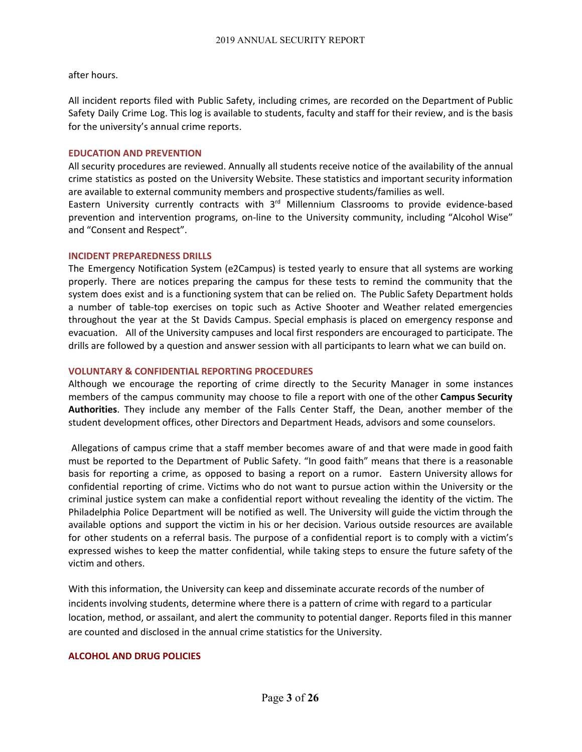after hours.

All incident reports filed with Public Safety, including crimes, are recorded on the Department of Public Safety Daily Crime Log. This log is available to students, faculty and staff for their review, and is the basis for the university's annual crime reports.

#### **EDUCATION AND PREVENTION**

All security procedures are reviewed. Annually all students receive notice of the availability of the annual crime statistics as posted on the University Website. These statistics and important security information are available to external community members and prospective students/families as well.

Eastern University currently contracts with 3<sup>rd</sup> Millennium Classrooms to provide evidence-based prevention and intervention programs, on-line to the University community, including "Alcohol Wise" and "Consent and Respect".

#### **INCIDENT PREPAREDNESS DRILLS**

The Emergency Notification System (e2Campus) is tested yearly to ensure that all systems are working properly. There are notices preparing the campus for these tests to remind the community that the system does exist and is a functioning system that can be relied on. The Public Safety Department holds a number of table-top exercises on topic such as Active Shooter and Weather related emergencies throughout the year at the St Davids Campus. Special emphasis is placed on emergency response and evacuation. All of the University campuses and local first responders are encouraged to participate. The drills are followed by a question and answer session with all participants to learn what we can build on.

#### **VOLUNTARY & CONFIDENTIAL REPORTING PROCEDURES**

Although we encourage the reporting of crime directly to the Security Manager in some instances members of the campus community may choose to file a report with one of the other **Campus Security Authorities**. They include any member of the Falls Center Staff, the Dean, another member of the student development offices, other Directors and Department Heads, advisors and some counselors.

Allegations of campus crime that a staff member becomes aware of and that were made in good faith must be reported to the Department of Public Safety. "In good faith" means that there is a reasonable basis for reporting a crime, as opposed to basing a report on a rumor. Eastern University allows for confidential reporting of crime. Victims who do not want to pursue action within the University or the criminal justice system can make a confidential report without revealing the identity of the victim. The Philadelphia Police Department will be notified as well. The University will guide the victim through the available options and support the victim in his or her decision. Various outside resources are available for other students on a referral basis. The purpose of a confidential report is to comply with a victim's expressed wishes to keep the matter confidential, while taking steps to ensure the future safety of the victim and others.

With this information, the University can keep and disseminate accurate records of the number of incidents involving students, determine where there is a pattern of crime with regard to a particular location, method, or assailant, and alert the community to potential danger. Reports filed in this manner are counted and disclosed in the annual crime statistics for the University.

#### **ALCOHOL AND DRUG POLICIES**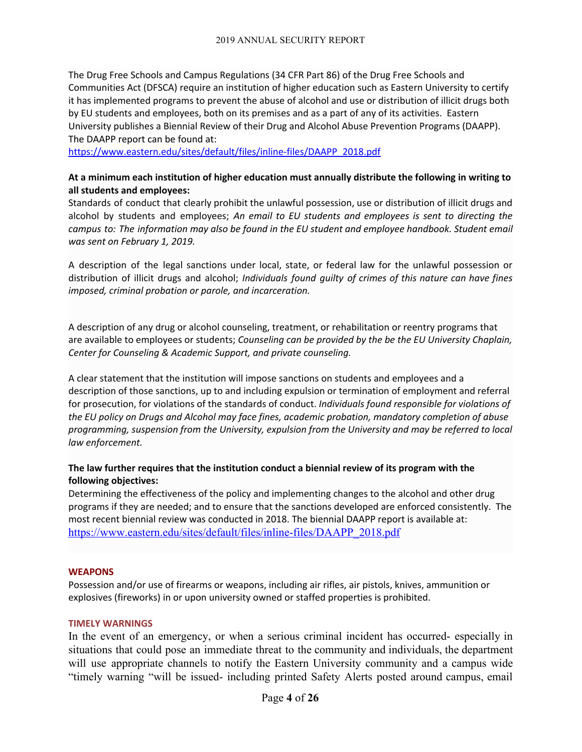The Drug Free Schools and Campus Regulations (34 CFR Part 86) of the Drug Free Schools and Communities Act (DFSCA) require an institution of higher education such as Eastern University to certify it has implemented programs to prevent the abuse of alcohol and use or distribution of illicit drugs both by EU students and employees, both on its premises and as a part of any of its activities. Eastern University publishes a Biennial Review of their Drug and Alcohol Abuse Prevention Programs (DAAPP). The DAAPP report can be found at:

[https://www.eastern.edu/sites/default/files/inline-files/DAAPP\\_2018.pdf](https://www.eastern.edu/sites/default/files/inline-files/DAAPP_2018.pdf)

# **At a minimum each institution of higher education must annually distribute the following in writing to all students and employees:**

Standards of conduct that clearly prohibit the unlawful possession, use or distribution of illicit drugs and alcohol by students and employees; *An email to EU students and employees is sent to directing the campus to: The information may also be found in the EU student and employee handbook. Student email was sent on February 1, 2019.*

A description of the legal sanctions under local, state, or federal law for the unlawful possession or distribution of illicit drugs and alcohol; *Individuals found guilty of crimes of this nature can have fines imposed, criminal probation or parole, and incarceration.*

A description of any drug or alcohol counseling, treatment, or rehabilitation or reentry programs that are available to employees or students; *Counseling can be provided by the be the EU University Chaplain, Center for Counseling & Academic Support, and private counseling.*

A clear statement that the institution will impose sanctions on students and employees and a description of those sanctions, up to and including expulsion or termination of employment and referral for prosecution, for violations of the standards of conduct. *Individuals found responsible for violations of the EU policy on Drugs and Alcohol may face fines, academic probation, mandatory completion of abuse programming, suspension from the University, expulsion from the University and may be referred to local law enforcement.*

# **The law further requires that the institution conduct a biennial review of its program with the following objectives:**

Determining the effectiveness of the policy and implementing changes to the alcohol and other drug programs if they are needed; and to ensure that the sanctions developed are enforced consistently. The most recent biennial review was conducted in 2018. The biennial DAAPP report is available at: [https://www.eastern.edu/sites/default/files/inline-files/DAAPP\\_2018.pdf](https://www.eastern.edu/sites/default/files/inline-files/DAAPP_2018.pdf)

# **WEAPONS**

Possession and/or use of firearms or weapons, including air rifles, air pistols, knives, ammunition or explosives (fireworks) in or upon university owned or staffed properties is prohibited.

# **TIMELY WARNINGS**

In the event of an emergency, or when a serious criminal incident has occurred- especially in situations that could pose an immediate threat to the community and individuals, the department will use appropriate channels to notify the Eastern University community and a campus wide "timely warning "will be issued- including printed Safety Alerts posted around campus, email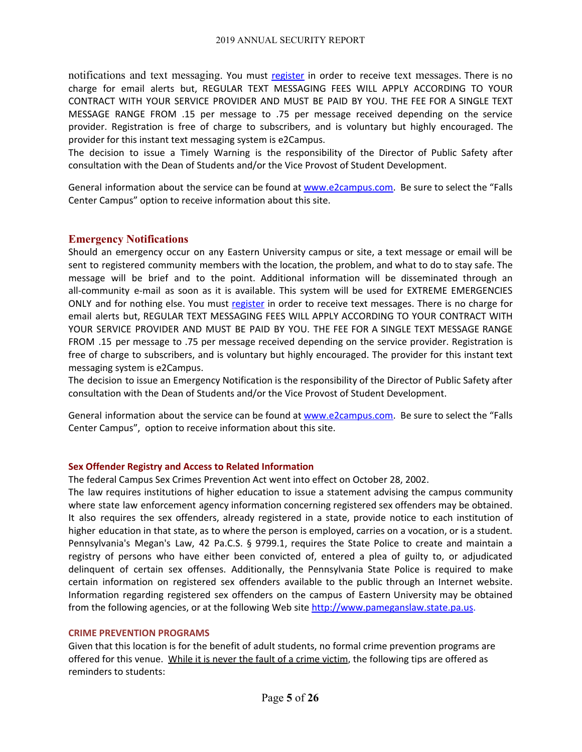notifications and text messaging. You must [register](http://www.eastern.edu/offices-centers/safety-and-security/eu-emergency-alert-system-0) in order to receive text messages. There is no charge for email alerts but, REGULAR TEXT MESSAGING FEES WILL APPLY ACCORDING TO YOUR CONTRACT WITH YOUR SERVICE PROVIDER AND MUST BE PAID BY YOU. THE FEE FOR A SINGLE TEXT MESSAGE RANGE FROM .15 per message to .75 per message received depending on the service provider. Registration is free of charge to subscribers, and is voluntary but highly encouraged. The provider for this instant text messaging system is e2Campus.

The decision to issue a Timely Warning is the responsibility of the Director of Public Safety after consultation with the Dean of Students and/or the Vice Provost of Student Development.

General information about the service can be found at [www.e2campus.com.](http://www.e2campus.com/) Be sure to select the "Falls Center Campus" option to receive information about this site.

#### **Emergency Notifications**

Should an emergency occur on any Eastern University campus or site, a text message or email will be sent to registered community members with the location, the problem, and what to do to stay safe. The message will be brief and to the point. Additional information will be disseminated through an all-community e-mail as soon as it is available. This system will be used for EXTREME EMERGENCIES ONLY and for nothing else. You must [register](http://www.eastern.edu/offices-centers/safety-and-security/eu-emergency-alert-system-0) in order to receive text messages. There is no charge for email alerts but, REGULAR TEXT MESSAGING FEES WILL APPLY ACCORDING TO YOUR CONTRACT WITH YOUR SERVICE PROVIDER AND MUST BE PAID BY YOU. THE FEE FOR A SINGLE TEXT MESSAGE RANGE FROM .15 per message to .75 per message received depending on the service provider. Registration is free of charge to subscribers, and is voluntary but highly encouraged. The provider for this instant text messaging system is e2Campus.

The decision to issue an Emergency Notification is the responsibility of the Director of Public Safety after consultation with the Dean of Students and/or the Vice Provost of Student Development.

General information about the service can be found at [www.e2campus.com.](http://www.e2campus.com/) Be sure to select the "Falls Center Campus", option to receive information about this site.

#### **Sex Offender Registry and Access to Related Information**

The federal Campus Sex Crimes Prevention Act went into effect on October 28, 2002.

The law requires institutions of higher education to issue a statement advising the campus community where state law enforcement agency information concerning registered sex offenders may be obtained. It also requires the sex offenders, already registered in a state, provide notice to each institution of higher education in that state, as to where the person is employed, carries on a vocation, or is a student. Pennsylvania's Megan's Law, 42 Pa.C.S. § 9799.1, requires the State Police to create and maintain a registry of persons who have either been convicted of, entered a plea of guilty to, or adjudicated delinquent of certain sex offenses. Additionally, the Pennsylvania State Police is required to make certain information on registered sex offenders available to the public through an Internet website. Information regarding registered sex offenders on the campus of Eastern University may be obtained from the following agencies, or at the following Web site [http://www.pameganslaw.state.pa.us](http://www.pameganslaw.state.pa.us/).

#### **CRIME PREVENTION PROGRAMS**

Given that this location is for the benefit of adult students, no formal crime prevention programs are offered for this venue. While it is never the fault of a crime victim, the following tips are offered as reminders to students: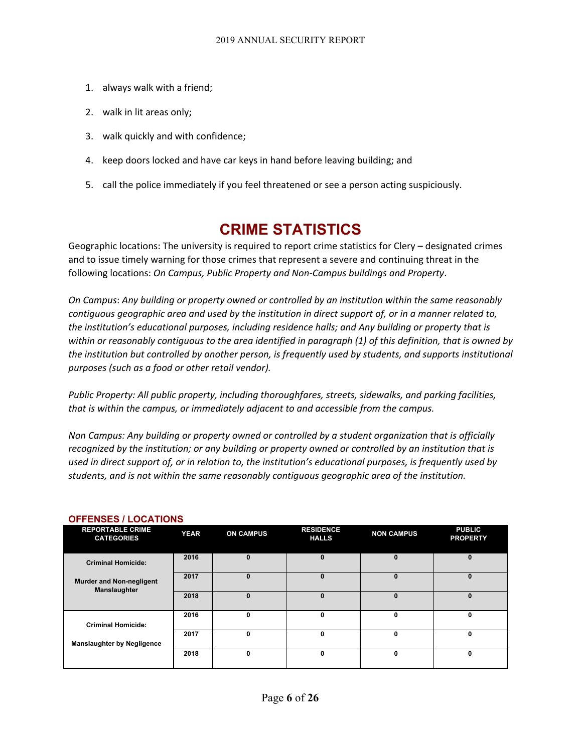- 1. always walk with a friend;
- 2. walk in lit areas only;
- 3. walk quickly and with confidence;
- 4. keep doors locked and have car keys in hand before leaving building; and
- 5. call the police immediately if you feel threatened or see a person acting suspiciously.

# **CRIME STATISTICS**

Geographic locations: The university is required to report crime statistics for Clery – designated crimes and to issue timely warning for those crimes that represent a severe and continuing threat in the following locations: *On Campus, Public Property and Non-Campus buildings and Property*.

*On Campus*: *Any building or property owned or controlled by an institution within the same reasonably* contiguous geographic area and used by the institution in direct support of, or in a manner related to, *the institution's educational purposes, including residence halls; and Any building or property that is* within or reasonably contiguous to the area identified in paragraph (1) of this definition, that is owned by *the institution but controlled by another person, is frequently used by students, and supports institutional purposes (such as a food or other retail vendor).*

*Public Property: All public property, including thoroughfares, streets, sidewalks, and parking facilities, that is within the campus, or immediately adjacent to and accessible from the campus.*

*Non Campus: Any building or property owned or controlled by a student organization that is officially recognized by the institution; or any building or property owned or controlled by an institution that is* used in direct support of, or in relation to, the institution's educational purposes, is frequently used by *students, and is not within the same reasonably contiguous geographic area of the institution.*

| <b>REPORTABLE CRIME</b><br><b>CATEGORIES</b>    | <b>YEAR</b> | <b>ON CAMPUS</b> | <b>RESIDENCE</b><br><b>HALLS</b> | <b>NON CAMPUS</b> | <b>PUBLIC</b><br><b>PROPERTY</b> |
|-------------------------------------------------|-------------|------------------|----------------------------------|-------------------|----------------------------------|
| <b>Criminal Homicide:</b>                       | 2016        | 0                | $\bf{0}$                         | $\mathbf{0}$      | $\bf{0}$                         |
| <b>Murder and Non-negligent</b><br>Manslaughter | 2017        | 0                | $\bf{0}$                         | $\mathbf{0}$      | $\bf{0}$                         |
|                                                 | 2018        | o                | $\bf{0}$                         | $\bf{0}$          | $\bf{0}$                         |
| <b>Criminal Homicide:</b>                       | 2016        | 0                | 0                                | 0                 | 0                                |
| <b>Manslaughter by Negligence</b>               | 2017        | 0                | $\Omega$                         | 0                 | 0                                |
|                                                 | 2018        | 0                | $\mathbf 0$                      | 0                 | $\mathbf 0$                      |

# **OFFENSES / LOCATIONS**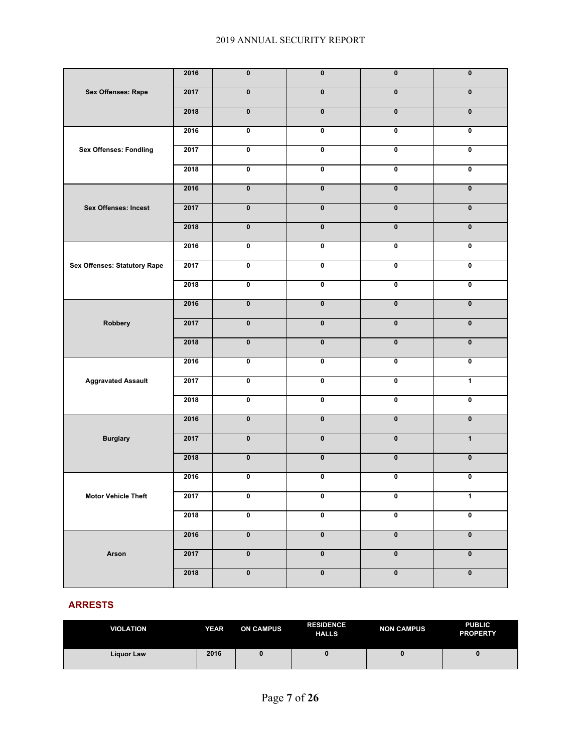|                               | 2016 | $\overline{\textbf{0}}$ | $\pmb{0}$               | $\pmb{0}$               | $\pmb{0}$               |
|-------------------------------|------|-------------------------|-------------------------|-------------------------|-------------------------|
| Sex Offenses: Rape            | 2017 | $\overline{\mathbf{0}}$ | $\pmb{0}$               | $\overline{\mathbf{0}}$ | $\pmb{0}$               |
|                               | 2018 | $\overline{\textbf{0}}$ | $\overline{\mathbf{0}}$ | $\overline{\mathbf{0}}$ | $\overline{\mathbf{0}}$ |
|                               | 2016 | $\overline{\mathbf{0}}$ | $\overline{\mathbf{0}}$ | $\overline{\mathbf{0}}$ | $\overline{\mathbf{0}}$ |
| <b>Sex Offenses: Fondling</b> | 2017 | $\overline{\mathbf{0}}$ | $\overline{\mathbf{0}}$ | $\overline{\mathbf{0}}$ | $\overline{\mathbf{0}}$ |
|                               | 2018 | $\overline{\mathbf{0}}$ | $\overline{\mathbf{0}}$ | $\overline{\mathbf{0}}$ | $\overline{\textbf{0}}$ |
|                               | 2016 | $\pmb{0}$               | $\overline{\mathbf{0}}$ | $\overline{\mathbf{0}}$ | $\overline{\mathbf{0}}$ |
| <b>Sex Offenses: Incest</b>   | 2017 | $\overline{\mathbf{0}}$ | $\overline{\mathbf{0}}$ | $\overline{\mathbf{0}}$ | $\overline{\mathbf{0}}$ |
|                               | 2018 | $\pmb{0}$               | $\overline{\mathbf{0}}$ | $\overline{\mathbf{0}}$ | $\overline{\mathbf{0}}$ |
|                               | 2016 | $\overline{\textbf{0}}$ | $\overline{\mathbf{0}}$ | $\overline{\mathbf{0}}$ | $\pmb{0}$               |
| Sex Offenses: Statutory Rape  | 2017 | $\overline{\mathbf{0}}$ | $\overline{\mathbf{0}}$ | $\overline{\mathbf{0}}$ | $\overline{\mathbf{0}}$ |
|                               | 2018 | $\overline{\textbf{0}}$ | $\overline{\mathbf{0}}$ | $\overline{\mathbf{0}}$ | $\pmb{0}$               |
|                               | 2016 | $\overline{\mathbf{0}}$ | $\overline{\mathbf{0}}$ | $\overline{\mathbf{0}}$ | $\overline{\mathbf{0}}$ |
| Robbery                       | 2017 | $\overline{\mathbf{0}}$ | $\overline{\mathbf{0}}$ | $\overline{\mathbf{0}}$ | $\pmb{0}$               |
|                               | 2018 | $\pmb{0}$               | $\overline{\mathbf{0}}$ | $\overline{\mathbf{0}}$ | $\overline{\mathbf{0}}$ |
|                               | 2016 | $\overline{\mathbf{0}}$ | $\overline{\mathbf{0}}$ | $\overline{\mathbf{0}}$ | $\overline{\mathbf{0}}$ |
| <b>Aggravated Assault</b>     | 2017 | $\overline{\mathbf{0}}$ | $\overline{\mathbf{0}}$ | 0                       | $\overline{1}$          |
|                               | 2018 | $\overline{\textbf{0}}$ | $\overline{\mathbf{0}}$ | $\overline{\mathbf{0}}$ | $\pmb{0}$               |
|                               | 2016 | $\overline{\textbf{0}}$ | $\overline{\mathbf{0}}$ | $\overline{\mathbf{0}}$ | $\overline{\mathbf{0}}$ |
| <b>Burglary</b>               | 2017 | $\pmb{0}$               | $\overline{\mathbf{0}}$ | $\overline{\mathbf{0}}$ | $\overline{1}$          |
|                               | 2018 | $\pmb{0}$               | $\overline{\mathbf{0}}$ | $\bf{0}$                | $\mathbf 0$             |
|                               | 2016 | $\overline{\textbf{0}}$ | $\overline{\mathbf{0}}$ | $\overline{\mathbf{0}}$ | $\pmb{0}$               |
| <b>Motor Vehicle Theft</b>    | 2017 | 0                       | 0                       | 0                       | 1                       |
|                               | 2018 | $\overline{\mathbf{0}}$ | $\pmb{0}$               | $\overline{\mathbf{0}}$ | $\pmb{0}$               |
|                               | 2016 | $\pmb{0}$               | $\pmb{0}$               | $\pmb{0}$               | $\pmb{0}$               |
| Arson                         | 2017 | $\pmb{0}$               | $\pmb{0}$               | $\pmb{0}$               | $\pmb{0}$               |
|                               | 2018 | $\overline{\textbf{0}}$ | $\overline{\mathbf{0}}$ | $\overline{\mathbf{0}}$ | $\overline{\mathbf{0}}$ |

#### **ARRESTS**

| <b>VIOLATION</b> | <b>YEAR</b> | <b>ON CAMPUS</b> | <b>RESIDENCE</b><br><b>HALLS</b> | <b>NON CAMPUS</b> | <b>PUBLIC</b><br><b>PROPERTY</b> |
|------------------|-------------|------------------|----------------------------------|-------------------|----------------------------------|
| Liguor Law       | 2016        |                  |                                  | o                 | u                                |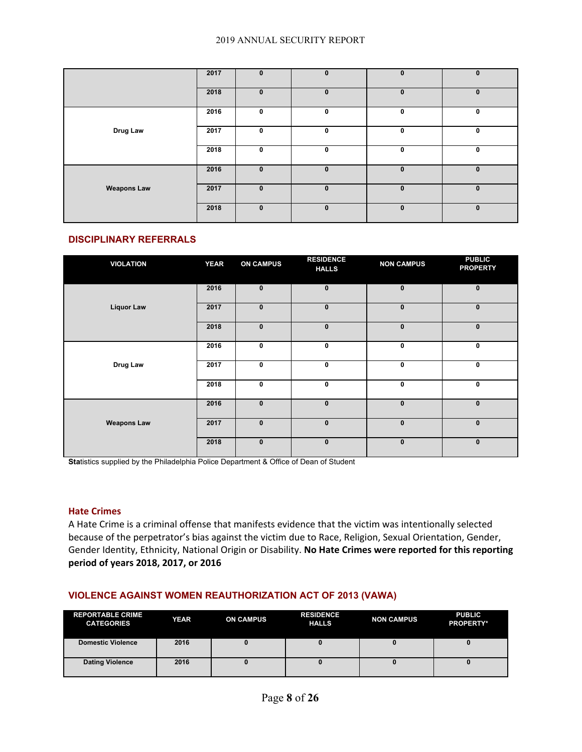|                    | 2017 | $\bf{0}$     | $\mathbf{0}$ | $\mathbf{0}$ | $\mathbf 0$ |
|--------------------|------|--------------|--------------|--------------|-------------|
|                    | 2018 | $\mathbf{0}$ | $\bf{0}$     | $\mathbf{0}$ | $\bf{0}$    |
|                    | 2016 | 0            | $\mathbf 0$  | $\mathbf 0$  | 0           |
| Drug Law           | 2017 | $\mathbf 0$  | $\mathbf{0}$ | $\mathbf 0$  | $\mathbf 0$ |
|                    | 2018 | 0            | 0            | $\mathbf 0$  | 0           |
|                    | 2016 | $\mathbf{0}$ | $\bf{0}$     | $\mathbf{0}$ | $\bf{0}$    |
| <b>Weapons Law</b> | 2017 | $\mathbf{0}$ | $\bf{0}$     | $\mathbf{0}$ | $\bf{0}$    |
|                    | 2018 | $\pmb{0}$    | $\mathbf{0}$ | $\mathbf{0}$ | $\mathbf 0$ |

#### **DISCIPLINARY REFERRALS**

| <b>VIOLATION</b>   | <b>YEAR</b> | <b>ON CAMPUS</b> | <b>RESIDENCE</b><br><b>HALLS</b> | <b>NON CAMPUS</b> | <b>PUBLIC</b><br><b>PROPERTY</b> |
|--------------------|-------------|------------------|----------------------------------|-------------------|----------------------------------|
|                    | 2016        | $\pmb{0}$        | $\mathbf{0}$                     | $\mathbf{0}$      | $\mathbf{0}$                     |
| <b>Liquor Law</b>  | 2017        | $\pmb{0}$        | $\bf{0}$                         | $\mathbf 0$       | $\mathbf 0$                      |
|                    | 2018        | $\mathbf{0}$     | $\bf{0}$                         | $\mathbf{0}$      | $\mathbf{0}$                     |
|                    | 2016        | 0                | 0                                | 0                 | $\mathbf 0$                      |
| Drug Law           | 2017        | $\mathbf 0$      | 0                                | 0                 | $\mathbf 0$                      |
|                    | 2018        | $\mathbf 0$      | 0                                | 0                 | $\mathbf 0$                      |
|                    | 2016        | $\bf{0}$         | $\mathbf{0}$                     | $\mathbf 0$       | $\mathbf 0$                      |
| <b>Weapons Law</b> | 2017        | $\mathbf{0}$     | $\bf{0}$                         | $\mathbf{0}$      | $\mathbf{0}$                     |
|                    | 2018        | $\mathbf 0$      | $\mathbf{0}$                     | $\mathbf{0}$      | $\mathbf{0}$                     |

**Statistics supplied by the Philadelphia Police Department & Office of Dean of Student** 

#### **Hate Crimes**

A Hate Crime is a criminal offense that manifests evidence that the victim was intentionally selected because of the perpetrator's bias against the victim due to Race, Religion, Sexual Orientation, Gender, Gender Identity, Ethnicity, National Origin or Disability. **No Hate Crimes were reported for this reporting period of years 2018, 2017, or 2016**

#### **VIOLENCE AGAINST WOMEN REAUTHORIZATION ACT OF 2013 (VAWA)**

| <b>REPORTABLE CRIME</b><br><b>CATEGORIES</b> | <b>YEAR</b> | <b>ON CAMPUS</b> | <b>RESIDENCE</b><br><b>HALLS</b> | <b>NON CAMPUS</b> | <b>PUBLIC</b><br><b>PROPERTY*</b> |
|----------------------------------------------|-------------|------------------|----------------------------------|-------------------|-----------------------------------|
| <b>Domestic Violence</b>                     | 2016        |                  |                                  |                   |                                   |
| <b>Dating Violence</b>                       | 2016        |                  |                                  |                   |                                   |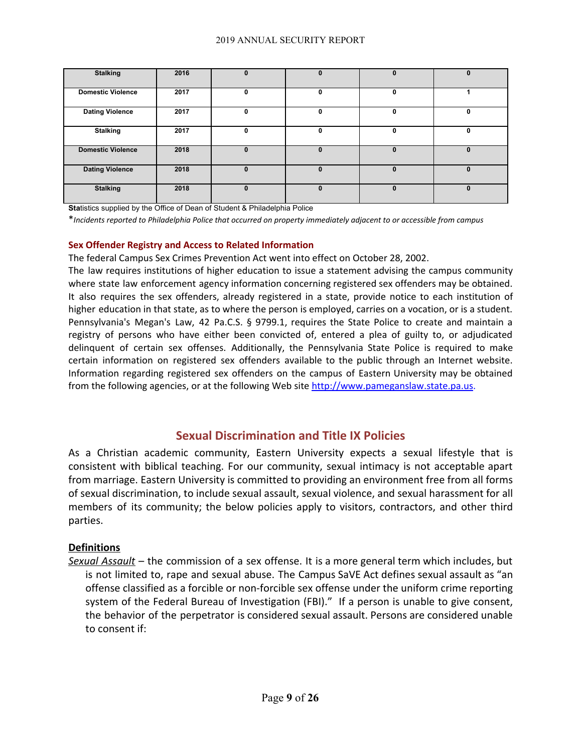| <b>Stalking</b>          | 2016 | 0        |   | 0        | 0           |
|--------------------------|------|----------|---|----------|-------------|
| <b>Domestic Violence</b> | 2017 | 0        | 0 | 0        |             |
| <b>Dating Violence</b>   | 2017 | 0        | 0 | $\Omega$ | 0           |
| <b>Stalking</b>          | 2017 | 0        | 0 | 0        | 0           |
| <b>Domestic Violence</b> | 2018 | $\Omega$ | 0 | $\bf{0}$ | $\bf{0}$    |
| <b>Dating Violence</b>   | 2018 | $\bf{0}$ | 0 | 0        | 0           |
| <b>Stalking</b>          | 2018 | $\bf{0}$ | 0 | $\bf{0}$ | $\mathbf 0$ |

**Statistics supplied by the Office of Dean of Student & Philadelphia Police** 

\**Incidents reported to Philadelphia Police that occurred on property immediately adjacent to or accessible from campus*

#### **Sex Offender Registry and Access to Related Information**

The federal Campus Sex Crimes Prevention Act went into effect on October 28, 2002.

The law requires institutions of higher education to issue a statement advising the campus community where state law enforcement agency information concerning registered sex offenders may be obtained. It also requires the sex offenders, already registered in a state, provide notice to each institution of higher education in that state, as to where the person is employed, carries on a vocation, or is a student. Pennsylvania's Megan's Law, 42 Pa.C.S. § 9799.1, requires the State Police to create and maintain a registry of persons who have either been convicted of, entered a plea of guilty to, or adjudicated delinquent of certain sex offenses. Additionally, the Pennsylvania State Police is required to make certain information on registered sex offenders available to the public through an Internet website. Information regarding registered sex offenders on the campus of Eastern University may be obtained from the following agencies, or at the following Web site [http://www.pameganslaw.state.pa.us](http://www.pameganslaw.state.pa.us/).

# **Sexual Discrimination and Title IX Policies**

As a Christian academic community, Eastern University expects a sexual lifestyle that is consistent with biblical teaching. For our community, sexual intimacy is not acceptable apart from marriage. Eastern University is committed to providing an environment free from all forms of sexual discrimination, to include sexual assault, sexual violence, and sexual harassment for all members of its community; the below policies apply to visitors, contractors, and other third parties.

# **Definitions**

*Sexual Assault* – the commission of a sex offense. It is a more general term which includes, but is not limited to, rape and sexual abuse. The Campus SaVE Act defines sexual assault as "an offense classified as a forcible or non-forcible sex offense under the uniform crime reporting system of the Federal Bureau of Investigation (FBI)." If a person is unable to give consent, the behavior of the perpetrator is considered sexual assault. Persons are considered unable to consent if: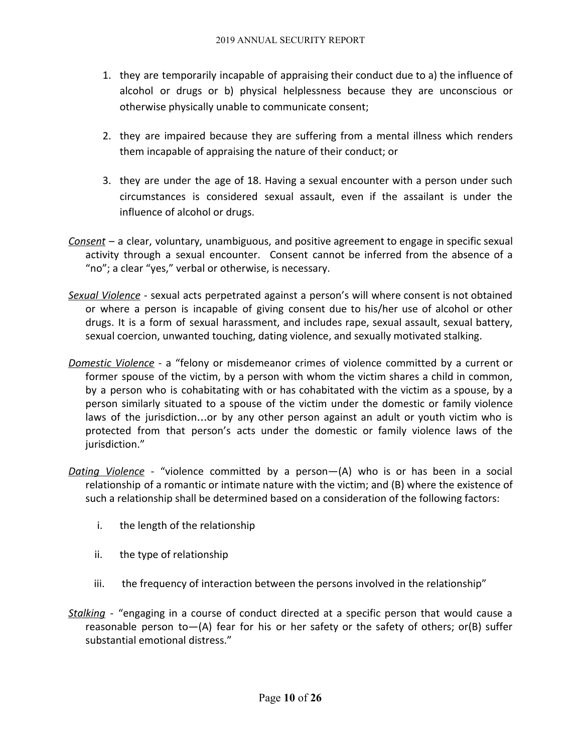- 1. they are temporarily incapable of appraising their conduct due to a) the influence of alcohol or drugs or b) physical helplessness because they are unconscious or otherwise physically unable to communicate consent;
- 2. they are impaired because they are suffering from a mental illness which renders them incapable of appraising the nature of their conduct; or
- 3. they are under the age of 18. Having a sexual encounter with a person under such circumstances is considered sexual assault, even if the assailant is under the influence of alcohol or drugs.
- *Consent* a clear, voluntary, unambiguous, and positive agreement to engage in specific sexual activity through a sexual encounter. Consent cannot be inferred from the absence of a "no"; a clear "yes," verbal or otherwise, is necessary.
- *Sexual Violence* sexual acts perpetrated against a person's will where consent is not obtained or where a person is incapable of giving consent due to his/her use of alcohol or other drugs. It is a form of sexual harassment, and includes rape, sexual assault, sexual battery, sexual coercion, unwanted touching, dating violence, and sexually motivated stalking.
- *Domestic Violence* a "felony or misdemeanor crimes of violence committed by a current or former spouse of the victim, by a person with whom the victim shares a child in common, by a person who is cohabitating with or has cohabitated with the victim as a spouse, by a person similarly situated to a spouse of the victim under the domestic or family violence laws of the jurisdiction…or by any other person against an adult or youth victim who is protected from that person's acts under the domestic or family violence laws of the jurisdiction."
- *Dating Violence* "violence committed by a person—(A) who is or has been in a social relationship of a romantic or intimate nature with the victim; and (B) where the existence of such a relationship shall be determined based on a consideration of the following factors:
	- i. the length of the relationship
	- ii. the type of relationship
	- iii. the frequency of interaction between the persons involved in the relationship"
- *Stalking -* "engaging in a course of conduct directed at a specific person that would cause a reasonable person to—(A) fear for his or her safety or the safety of others; or(B) suffer substantial emotional distress."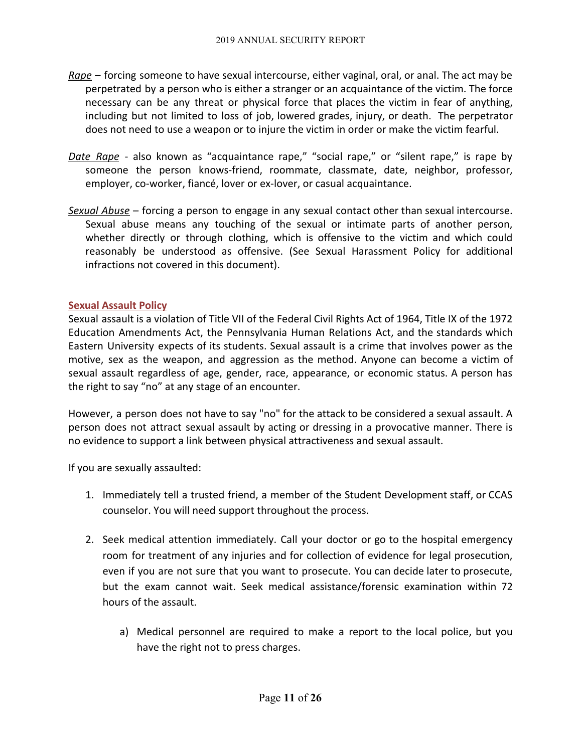- *Rape* forcing someone to have sexual intercourse, either vaginal, oral, or anal. The act may be perpetrated by a person who is either a stranger or an acquaintance of the victim. The force necessary can be any threat or physical force that places the victim in fear of anything, including but not limited to loss of job, lowered grades, injury, or death. The perpetrator does not need to use a weapon or to injure the victim in order or make the victim fearful.
- *Date Rape* also known as "acquaintance rape," "social rape," or "silent rape," is rape by someone the person knows-friend, roommate, classmate, date, neighbor, professor, employer, co-worker, fiancé, lover or ex-lover, or casual acquaintance.
- *Sexual Abuse* forcing a person to engage in any sexual contact other than sexual intercourse. Sexual abuse means any touching of the sexual or intimate parts of another person, whether directly or through clothing, which is offensive to the victim and which could reasonably be understood as offensive. (See Sexual Harassment Policy for additional infractions not covered in this document).

# **Sexual Assault Policy**

Sexual assault is a violation of Title VII of the Federal Civil Rights Act of 1964, Title IX of the 1972 Education Amendments Act, the Pennsylvania Human Relations Act, and the standards which Eastern University expects of its students. Sexual assault is a crime that involves power as the motive, sex as the weapon, and aggression as the method. Anyone can become a victim of sexual assault regardless of age, gender, race, appearance, or economic status. A person has the right to say "no" at any stage of an encounter.

However, a person does not have to say "no" for the attack to be considered a sexual assault. A person does not attract sexual assault by acting or dressing in a provocative manner. There is no evidence to support a link between physical attractiveness and sexual assault.

If you are sexually assaulted:

- 1. Immediately tell a trusted friend, a member of the Student Development staff, or CCAS counselor. You will need support throughout the process.
- 2. Seek medical attention immediately. Call your doctor or go to the hospital emergency room for treatment of any injuries and for collection of evidence for legal prosecution, even if you are not sure that you want to prosecute. You can decide later to prosecute, but the exam cannot wait. Seek medical assistance/forensic examination within 72 hours of the assault.
	- a) Medical personnel are required to make a report to the local police, but you have the right not to press charges.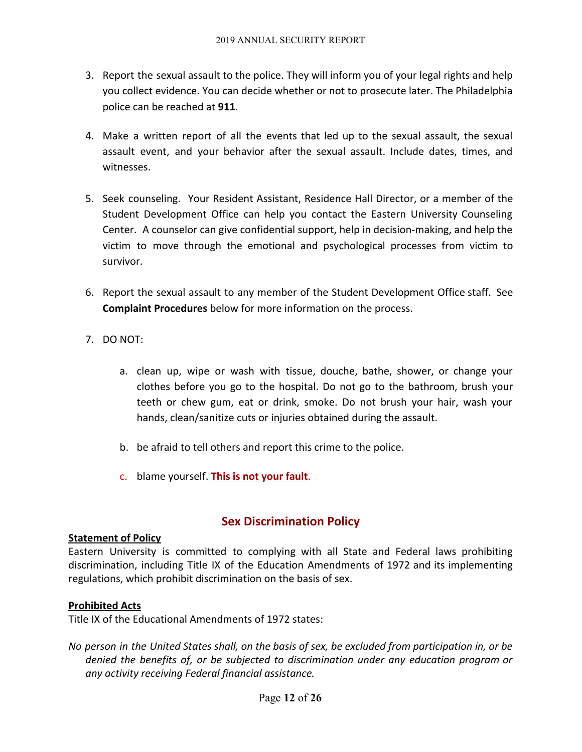- 3. Report the sexual assault to the police. They will inform you of your legal rights and help you collect evidence. You can decide whether or not to prosecute later. The Philadelphia police can be reached at **911**.
- 4. Make a written report of all the events that led up to the sexual assault, the sexual assault event, and your behavior after the sexual assault. Include dates, times, and witnesses.
- 5. Seek counseling. Your Resident Assistant, Residence Hall Director, or a member of the Student Development Office can help you contact the Eastern University Counseling Center. A counselor can give confidential support, help in decision-making, and help the victim to move through the emotional and psychological processes from victim to survivor.
- 6. Report the sexual assault to any member of the Student Development Office staff. See **Complaint Procedures** below for more information on the process.
- 7. DO NOT:
	- a. clean up, wipe or wash with tissue, douche, bathe, shower, or change your clothes before you go to the hospital. Do not go to the bathroom, brush your teeth or chew gum, eat or drink, smoke. Do not brush your hair, wash your hands, clean/sanitize cuts or injuries obtained during the assault.
	- b. be afraid to tell others and report this crime to the police.
	- c. blame yourself. **This is not your fault**.

# **Sex Discrimination Policy**

# **Statement of Policy**

Eastern University is committed to complying with all State and Federal laws prohibiting discrimination, including Title IX of the Education Amendments of 1972 and its implementing regulations, which prohibit discrimination on the basis of sex.

# **Prohibited Acts**

Title IX of the Educational Amendments of 1972 states:

No person in the United States shall, on the basis of sex, be excluded from participation in, or be *denied the benefits of, or be subjected to discrimination under any education program or any activity receiving Federal financial assistance.*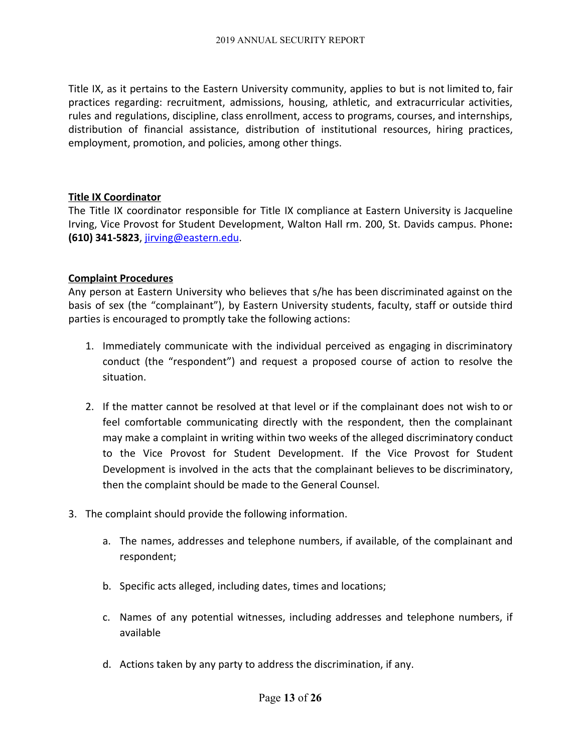Title IX, as it pertains to the Eastern University community, applies to but is not limited to, fair practices regarding: recruitment, admissions, housing, athletic, and extracurricular activities, rules and regulations, discipline, class enrollment, access to programs, courses, and internships, distribution of financial assistance, distribution of institutional resources, hiring practices, employment, promotion, and policies, among other things.

# **Title IX Coordinator**

The Title IX coordinator responsible for Title IX compliance at Eastern University is Jacqueline Irving, Vice Provost for Student Development, Walton Hall rm. 200, St. Davids campus. Phone**: (610) 341-5823**, [jirving@eastern.edu](mailto:jirving@eastern.edu).

# **Complaint Procedures**

Any person at Eastern University who believes that s/he has been discriminated against on the basis of sex (the "complainant"), by Eastern University students, faculty, staff or outside third parties is encouraged to promptly take the following actions:

- 1. Immediately communicate with the individual perceived as engaging in discriminatory conduct (the "respondent") and request a proposed course of action to resolve the situation.
- 2. If the matter cannot be resolved at that level or if the complainant does not wish to or feel comfortable communicating directly with the respondent, then the complainant may make a complaint in writing within two weeks of the alleged discriminatory conduct to the Vice Provost for Student Development. If the Vice Provost for Student Development is involved in the acts that the complainant believes to be discriminatory, then the complaint should be made to the General Counsel.
- 3. The complaint should provide the following information.
	- a. The names, addresses and telephone numbers, if available, of the complainant and respondent;
	- b. Specific acts alleged, including dates, times and locations;
	- c. Names of any potential witnesses, including addresses and telephone numbers, if available
	- d. Actions taken by any party to address the discrimination, if any.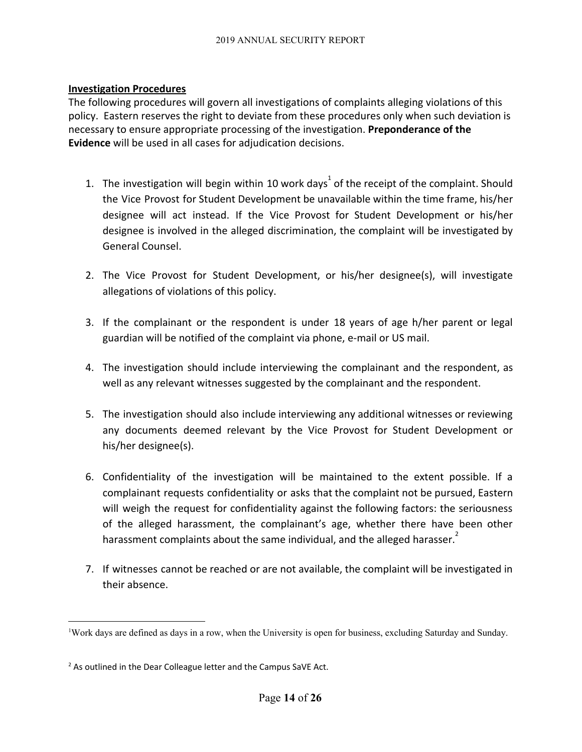# **Investigation Procedures**

The following procedures will govern all investigations of complaints alleging violations of this policy. Eastern reserves the right to deviate from these procedures only when such deviation is necessary to ensure appropriate processing of the investigation. **Preponderance of the Evidence** will be used in all cases for adjudication decisions.

- 1. The investigation will begin within 10 work days<sup>1</sup> of the receipt of the complaint. Should the Vice Provost for Student Development be unavailable within the time frame, his/her designee will act instead. If the Vice Provost for Student Development or his/her designee is involved in the alleged discrimination, the complaint will be investigated by General Counsel.
- 2. The Vice Provost for Student Development, or his/her designee(s), will investigate allegations of violations of this policy.
- 3. If the complainant or the respondent is under 18 years of age h/her parent or legal guardian will be notified of the complaint via phone, e-mail or US mail.
- 4. The investigation should include interviewing the complainant and the respondent, as well as any relevant witnesses suggested by the complainant and the respondent.
- 5. The investigation should also include interviewing any additional witnesses or reviewing any documents deemed relevant by the Vice Provost for Student Development or his/her designee(s).
- 6. Confidentiality of the investigation will be maintained to the extent possible. If a complainant requests confidentiality or asks that the complaint not be pursued, Eastern will weigh the request for confidentiality against the following factors: the seriousness of the alleged harassment, the complainant's age, whether there have been other harassment complaints about the same individual, and the alleged harasser.
- 7. If witnesses cannot be reached or are not available, the complaint will be investigated in their absence.

<sup>1</sup>Work days are defined as days in a row, when the University is open for business, excluding Saturday and Sunday.

<sup>&</sup>lt;sup>2</sup> As outlined in the Dear Colleague letter and the Campus SaVE Act.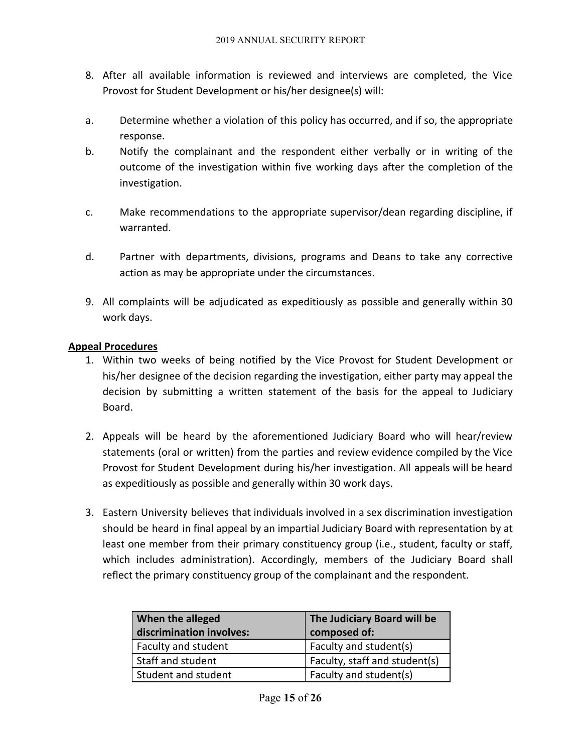- 8. After all available information is reviewed and interviews are completed, the Vice Provost for Student Development or his/her designee(s) will:
- a. Determine whether a violation of this policy has occurred, and if so, the appropriate response.
- b. Notify the complainant and the respondent either verbally or in writing of the outcome of the investigation within five working days after the completion of the investigation.
- c. Make recommendations to the appropriate supervisor/dean regarding discipline, if warranted.
- d. Partner with departments, divisions, programs and Deans to take any corrective action as may be appropriate under the circumstances.
- 9. All complaints will be adjudicated as expeditiously as possible and generally within 30 work days.

# **Appeal Procedures**

- 1. Within two weeks of being notified by the Vice Provost for Student Development or his/her designee of the decision regarding the investigation, either party may appeal the decision by submitting a written statement of the basis for the appeal to Judiciary Board.
- 2. Appeals will be heard by the aforementioned Judiciary Board who will hear/review statements (oral or written) from the parties and review evidence compiled by the Vice Provost for Student Development during his/her investigation. All appeals will be heard as expeditiously as possible and generally within 30 work days.
- 3. Eastern University believes that individuals involved in a sex discrimination investigation should be heard in final appeal by an impartial Judiciary Board with representation by at least one member from their primary constituency group (i.e., student, faculty or staff, which includes administration). Accordingly, members of the Judiciary Board shall reflect the primary constituency group of the complainant and the respondent.

| When the alleged<br>discrimination involves: | The Judiciary Board will be<br>composed of: |  |
|----------------------------------------------|---------------------------------------------|--|
| Faculty and student                          | Faculty and student(s)                      |  |
| Staff and student                            | Faculty, staff and student(s)               |  |
| Student and student                          | Faculty and student(s)                      |  |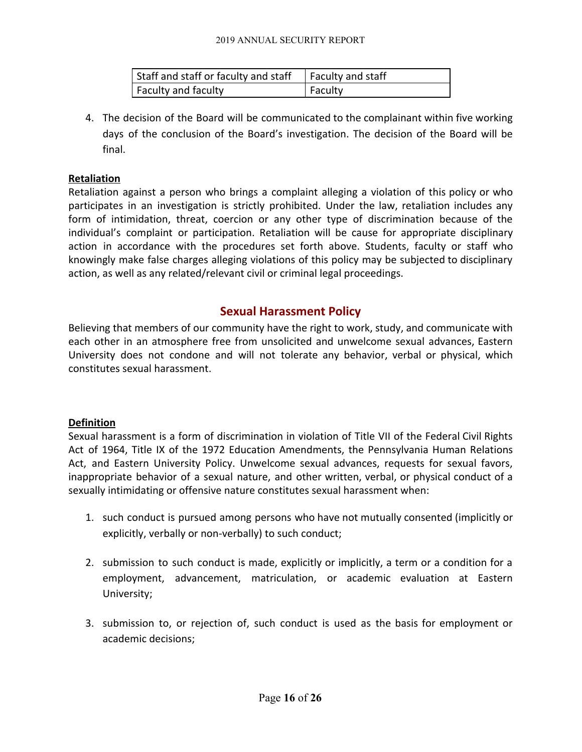| Staff and staff or faculty and staff $\Box$ Faculty and staff |         |
|---------------------------------------------------------------|---------|
| Faculty and faculty                                           | Faculty |

4. The decision of the Board will be communicated to the complainant within five working days of the conclusion of the Board's investigation. The decision of the Board will be final.

# **Retaliation**

Retaliation against a person who brings a complaint alleging a violation of this policy or who participates in an investigation is strictly prohibited. Under the law, retaliation includes any form of intimidation, threat, coercion or any other type of discrimination because of the individual's complaint or participation. Retaliation will be cause for appropriate disciplinary action in accordance with the procedures set forth above. Students, faculty or staff who knowingly make false charges alleging violations of this policy may be subjected to disciplinary action, as well as any related/relevant civil or criminal legal proceedings.

# **Sexual Harassment Policy**

Believing that members of our community have the right to work, study, and communicate with each other in an atmosphere free from unsolicited and unwelcome sexual advances, Eastern University does not condone and will not tolerate any behavior, verbal or physical, which constitutes sexual harassment.

# **Definition**

Sexual harassment is a form of discrimination in violation of Title VII of the Federal Civil Rights Act of 1964, Title IX of the 1972 Education Amendments, the Pennsylvania Human Relations Act, and Eastern University Policy. Unwelcome sexual advances, requests for sexual favors, inappropriate behavior of a sexual nature, and other written, verbal, or physical conduct of a sexually intimidating or offensive nature constitutes sexual harassment when:

- 1. such conduct is pursued among persons who have not mutually consented (implicitly or explicitly, verbally or non-verbally) to such conduct;
- 2. submission to such conduct is made, explicitly or implicitly, a term or a condition for a employment, advancement, matriculation, or academic evaluation at Eastern University;
- 3. submission to, or rejection of, such conduct is used as the basis for employment or academic decisions;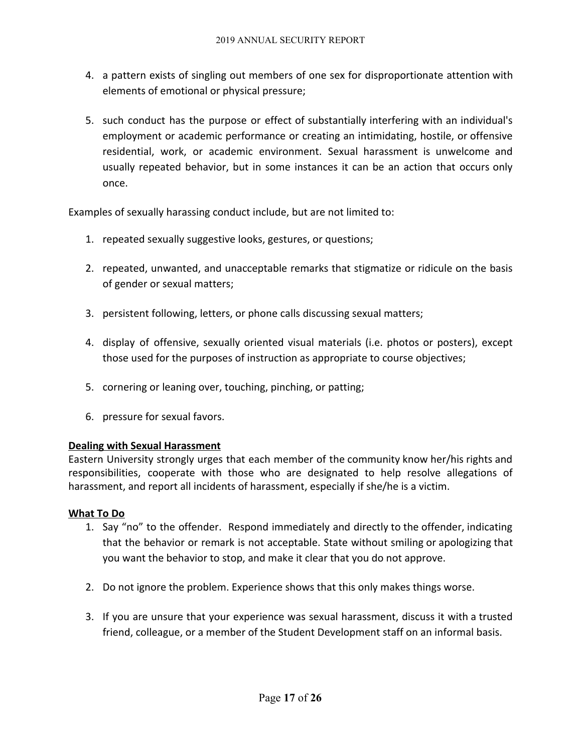- 4. a pattern exists of singling out members of one sex for disproportionate attention with elements of emotional or physical pressure;
- 5. such conduct has the purpose or effect of substantially interfering with an individual's employment or academic performance or creating an intimidating, hostile, or offensive residential, work, or academic environment. Sexual harassment is unwelcome and usually repeated behavior, but in some instances it can be an action that occurs only once.

Examples of sexually harassing conduct include, but are not limited to:

- 1. repeated sexually suggestive looks, gestures, or questions;
- 2. repeated, unwanted, and unacceptable remarks that stigmatize or ridicule on the basis of gender or sexual matters;
- 3. persistent following, letters, or phone calls discussing sexual matters;
- 4. display of offensive, sexually oriented visual materials (i.e. photos or posters), except those used for the purposes of instruction as appropriate to course objectives;
- 5. cornering or leaning over, touching, pinching, or patting;
- 6. pressure for sexual favors.

# **Dealing with Sexual Harassment**

Eastern University strongly urges that each member of the community know her/his rights and responsibilities, cooperate with those who are designated to help resolve allegations of harassment, and report all incidents of harassment, especially if she/he is a victim.

# **What To Do**

- 1. Say "no" to the offender. Respond immediately and directly to the offender, indicating that the behavior or remark is not acceptable. State without smiling or apologizing that you want the behavior to stop, and make it clear that you do not approve.
- 2. Do not ignore the problem. Experience shows that this only makes things worse.
- 3. If you are unsure that your experience was sexual harassment, discuss it with a trusted friend, colleague, or a member of the Student Development staff on an informal basis.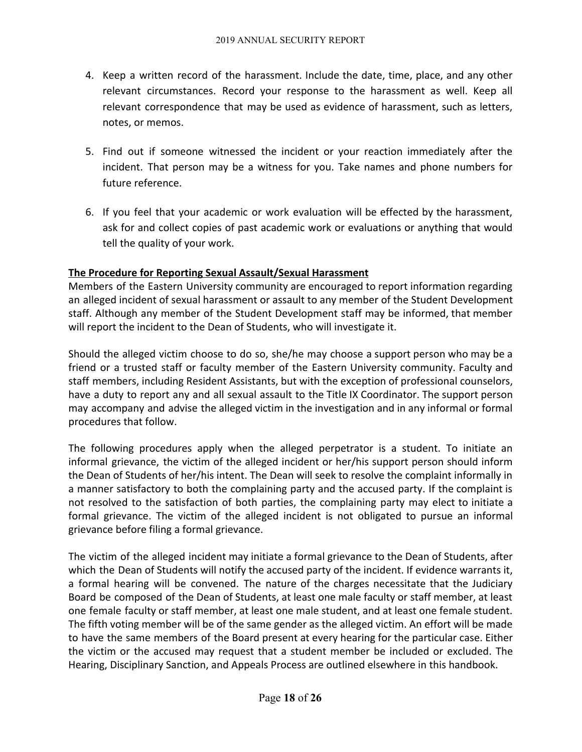- 4. Keep a written record of the harassment. Include the date, time, place, and any other relevant circumstances. Record your response to the harassment as well. Keep all relevant correspondence that may be used as evidence of harassment, such as letters, notes, or memos.
- 5. Find out if someone witnessed the incident or your reaction immediately after the incident. That person may be a witness for you. Take names and phone numbers for future reference.
- 6. If you feel that your academic or work evaluation will be effected by the harassment, ask for and collect copies of past academic work or evaluations or anything that would tell the quality of your work.

# **The Procedure for Reporting Sexual Assault/Sexual Harassment**

Members of the Eastern University community are encouraged to report information regarding an alleged incident of sexual harassment or assault to any member of the Student Development staff. Although any member of the Student Development staff may be informed, that member will report the incident to the Dean of Students, who will investigate it.

Should the alleged victim choose to do so, she/he may choose a support person who may be a friend or a trusted staff or faculty member of the Eastern University community. Faculty and staff members, including Resident Assistants, but with the exception of professional counselors, have a duty to report any and all sexual assault to the Title IX Coordinator. The support person may accompany and advise the alleged victim in the investigation and in any informal or formal procedures that follow.

The following procedures apply when the alleged perpetrator is a student. To initiate an informal grievance, the victim of the alleged incident or her/his support person should inform the Dean of Students of her/his intent. The Dean will seek to resolve the complaint informally in a manner satisfactory to both the complaining party and the accused party. If the complaint is not resolved to the satisfaction of both parties, the complaining party may elect to initiate a formal grievance. The victim of the alleged incident is not obligated to pursue an informal grievance before filing a formal grievance.

The victim of the alleged incident may initiate a formal grievance to the Dean of Students, after which the Dean of Students will notify the accused party of the incident. If evidence warrants it, a formal hearing will be convened. The nature of the charges necessitate that the Judiciary Board be composed of the Dean of Students, at least one male faculty or staff member, at least one female faculty or staff member, at least one male student, and at least one female student. The fifth voting member will be of the same gender as the alleged victim. An effort will be made to have the same members of the Board present at every hearing for the particular case. Either the victim or the accused may request that a student member be included or excluded. The Hearing, Disciplinary Sanction, and Appeals Process are outlined elsewhere in this handbook.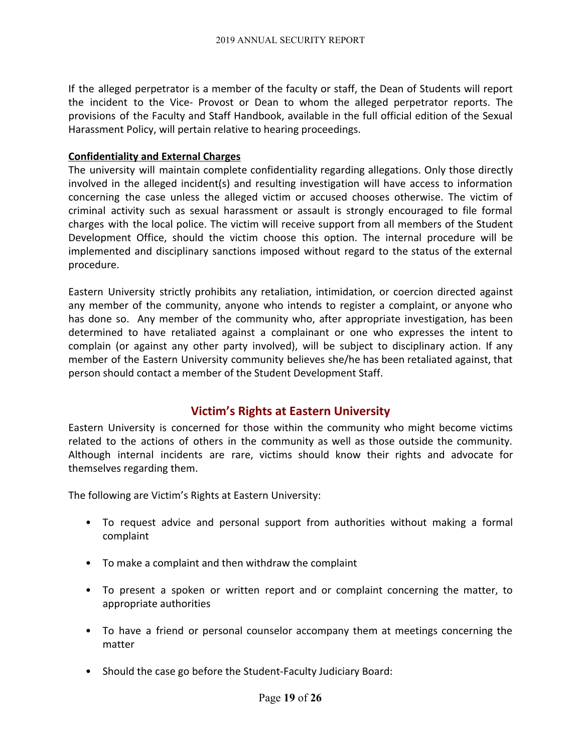If the alleged perpetrator is a member of the faculty or staff, the Dean of Students will report the incident to the Vice- Provost or Dean to whom the alleged perpetrator reports. The provisions of the Faculty and Staff Handbook, available in the full official edition of the Sexual Harassment Policy, will pertain relative to hearing proceedings.

# **Confidentiality and External Charges**

The university will maintain complete confidentiality regarding allegations. Only those directly involved in the alleged incident(s) and resulting investigation will have access to information concerning the case unless the alleged victim or accused chooses otherwise. The victim of criminal activity such as sexual harassment or assault is strongly encouraged to file formal charges with the local police. The victim will receive support from all members of the Student Development Office, should the victim choose this option. The internal procedure will be implemented and disciplinary sanctions imposed without regard to the status of the external procedure.

Eastern University strictly prohibits any retaliation, intimidation, or coercion directed against any member of the community, anyone who intends to register a complaint, or anyone who has done so. Any member of the community who, after appropriate investigation, has been determined to have retaliated against a complainant or one who expresses the intent to complain (or against any other party involved), will be subject to disciplinary action. If any member of the Eastern University community believes she/he has been retaliated against, that person should contact a member of the Student Development Staff.

# **Victim's Rights at Eastern University**

Eastern University is concerned for those within the community who might become victims related to the actions of others in the community as well as those outside the community. Although internal incidents are rare, victims should know their rights and advocate for themselves regarding them.

The following are Victim's Rights at Eastern University:

- To request advice and personal support from authorities without making a formal complaint
- To make a complaint and then withdraw the complaint
- To present a spoken or written report and or complaint concerning the matter, to appropriate authorities
- To have a friend or personal counselor accompany them at meetings concerning the matter
- Should the case go before the Student-Faculty Judiciary Board: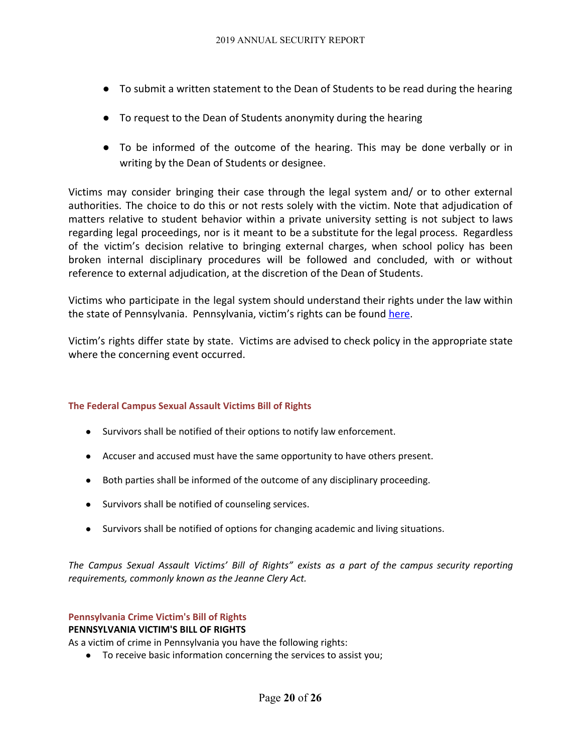- To submit a written statement to the Dean of Students to be read during the hearing
- To request to the Dean of Students anonymity during the hearing
- To be informed of the outcome of the hearing. This may be done verbally or in writing by the Dean of Students or designee.

Victims may consider bringing their case through the legal system and/ or to other external authorities. The choice to do this or not rests solely with the victim. Note that adjudication of matters relative to student behavior within a private university setting is not subject to laws regarding legal proceedings, nor is it meant to be a substitute for the legal process. Regardless of the victim's decision relative to bringing external charges, when school policy has been broken internal disciplinary procedures will be followed and concluded, with or without reference to external adjudication, at the discretion of the Dean of Students.

Victims who participate in the legal system should understand their rights under the law within the state of Pennsylvania. Pennsylvania, victim's rights can be found [here](http://crime.about.com/od/victims/qt/victims_pa.htm).

Victim's rights differ state by state. Victims are advised to check policy in the appropriate state where the concerning event occurred.

# **The Federal Campus Sexual Assault Victims Bill of Rights**

- Survivors shall be notified of their options to notify law enforcement.
- Accuser and accused must have the same opportunity to have others present.
- Both parties shall be informed of the outcome of any disciplinary proceeding.
- Survivors shall be notified of counseling services.
- Survivors shall be notified of options for changing academic and living situations.

*The Campus Sexual Assault Victims' Bill of Rights" exists as a part of the campus security reporting requirements, commonly known as the Jeanne Clery Act.*

# **Pennsylvania Crime Victim's Bill of Rights**

# **PENNSYLVANIA VICTIM'S BILL OF RIGHTS**

As a victim of crime in Pennsylvania you have the following rights:

● To receive basic information concerning the services to assist you;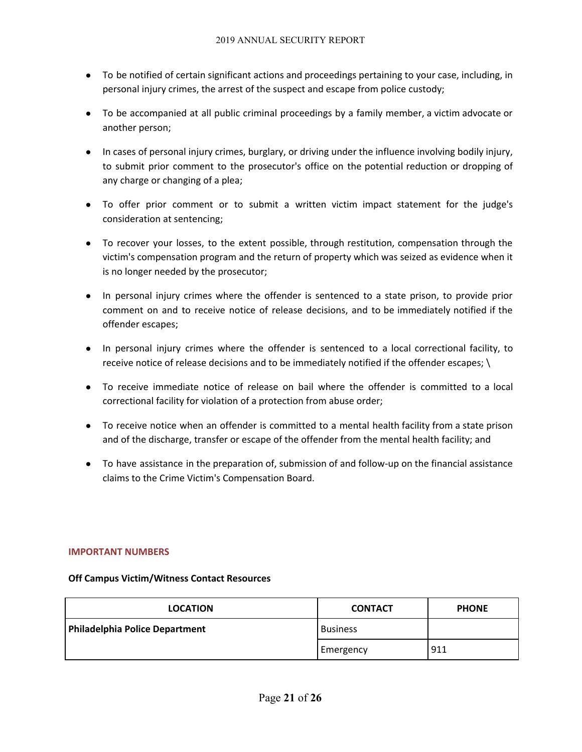- To be notified of certain significant actions and proceedings pertaining to your case, including, in personal injury crimes, the arrest of the suspect and escape from police custody;
- To be accompanied at all public criminal proceedings by a family member, a victim advocate or another person;
- In cases of personal injury crimes, burglary, or driving under the influence involving bodily injury, to submit prior comment to the prosecutor's office on the potential reduction or dropping of any charge or changing of a plea;
- To offer prior comment or to submit a written victim impact statement for the judge's consideration at sentencing;
- To recover your losses, to the extent possible, through restitution, compensation through the victim's compensation program and the return of property which was seized as evidence when it is no longer needed by the prosecutor;
- In personal injury crimes where the offender is sentenced to a state prison, to provide prior comment on and to receive notice of release decisions, and to be immediately notified if the offender escapes;
- In personal injury crimes where the offender is sentenced to a local correctional facility, to receive notice of release decisions and to be immediately notified if the offender escapes; \
- To receive immediate notice of release on bail where the offender is committed to a local correctional facility for violation of a protection from abuse order;
- To receive notice when an offender is committed to a mental health facility from a state prison and of the discharge, transfer or escape of the offender from the mental health facility; and
- To have assistance in the preparation of, submission of and follow-up on the financial assistance claims to the Crime Victim's Compensation Board.

#### **IMPORTANT NUMBERS**

# **Off Campus Victim/Witness Contact Resources**

| <b>LOCATION</b>                | <b>CONTACT</b>  | <b>PHONE</b> |
|--------------------------------|-----------------|--------------|
| Philadelphia Police Department | <b>Business</b> |              |
|                                | Emergency       | 911          |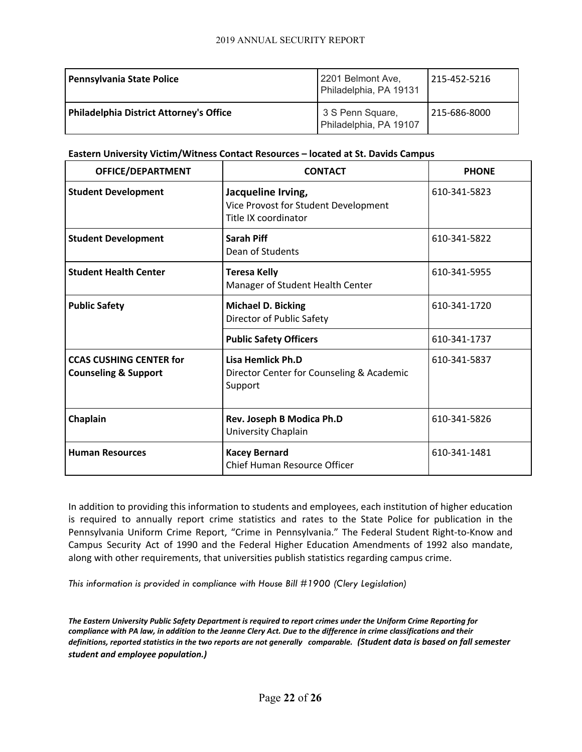| <b>Pennsylvania State Police</b>               | 2201 Belmont Ave,<br>Philadelphia, PA 19131 | 215-452-5216 |
|------------------------------------------------|---------------------------------------------|--------------|
| <b>Philadelphia District Attorney's Office</b> | 3 S Penn Square,<br>Philadelphia, PA 19107  | 215-686-8000 |

#### **Eastern University Victim/Witness Contact Resources – located at St. Davids Campus**

| OFFICE/DEPARTMENT                                                 | <b>CONTACT</b>                                                                     | <b>PHONE</b> |
|-------------------------------------------------------------------|------------------------------------------------------------------------------------|--------------|
| <b>Student Development</b>                                        | Jacqueline Irving,<br>Vice Provost for Student Development<br>Title IX coordinator | 610-341-5823 |
| <b>Student Development</b>                                        | Sarah Piff<br>Dean of Students                                                     | 610-341-5822 |
| <b>Student Health Center</b>                                      | <b>Teresa Kelly</b><br>Manager of Student Health Center                            | 610-341-5955 |
| <b>Public Safety</b>                                              | <b>Michael D. Bicking</b><br>Director of Public Safety                             | 610-341-1720 |
|                                                                   | <b>Public Safety Officers</b>                                                      | 610-341-1737 |
| <b>CCAS CUSHING CENTER for</b><br><b>Counseling &amp; Support</b> | Lisa Hemlick Ph.D<br>Director Center for Counseling & Academic<br>Support          | 610-341-5837 |
| Chaplain                                                          | Rev. Joseph B Modica Ph.D<br>University Chaplain                                   | 610-341-5826 |
| <b>Human Resources</b>                                            | <b>Kacey Bernard</b><br>Chief Human Resource Officer                               | 610-341-1481 |

In addition to providing this information to students and employees, each institution of higher education is required to annually report crime statistics and rates to the State Police for publication in the Pennsylvania Uniform Crime Report, "Crime in Pennsylvania." The Federal Student Right-to-Know and Campus Security Act of 1990 and the Federal Higher Education Amendments of 1992 also mandate, along with other requirements, that universities publish statistics regarding campus crime.

*This information is provided in compliance with House Bill #1900 (Clery Legislation)*

*The Eastern University Public Safety Department is required to report crimes under the Uniform Crime Reporting for compliance with PA law, in addition to the Jeanne Clery Act. Due to the difference in crime classifications and their definitions, reported statistics in the two reports are not generally comparable. (Student data is based on fall semester student and employee population.)*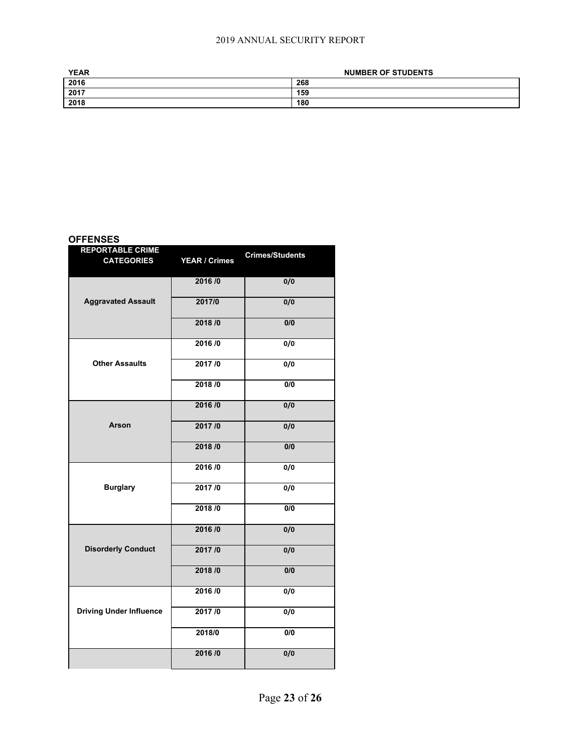| <b>YEAR</b> | <b>NUMBER OF STUDENTS</b> |  |
|-------------|---------------------------|--|
| 2016        | 268                       |  |
| 2017        | 159                       |  |
| 2018        | 180                       |  |

#### **OFFENSES**

| <b>REPORTABLE CRIME</b><br><b>CATEGORIES</b> | <b>YEAR / Crimes</b> | <b>Crimes/Students</b> |
|----------------------------------------------|----------------------|------------------------|
| <b>Aggravated Assault</b>                    | 2016/0               | 0/0                    |
|                                              | 2017/0               | 0/0                    |
|                                              | 2018/0               | 0/0                    |
| <b>Other Assaults</b>                        | 2016/0               | 0/0                    |
|                                              | 2017/0               | 0/0                    |
|                                              | 2018 / 0             | 0/0                    |
| <b>Arson</b>                                 | 2016/0               | 0/0                    |
|                                              | 2017/0               | 0/0                    |
|                                              | 2018/0               | 0/0                    |
| <b>Burglary</b>                              | 2016/0               | 0/0                    |
|                                              | 2017/0               | 0/0                    |
|                                              | 2018/0               | 0/0                    |
| <b>Disorderly Conduct</b>                    | 2016/0               | 0/0                    |
|                                              | 2017/0               | 0/0                    |
|                                              | 2018/0               | 0/0                    |
| <b>Driving Under Influence</b>               | 2016/0               | 0/0                    |
|                                              | 2017/0               | 0/0                    |
|                                              | 2018/0               | 0/0                    |
|                                              | 2016/0               | 0/0                    |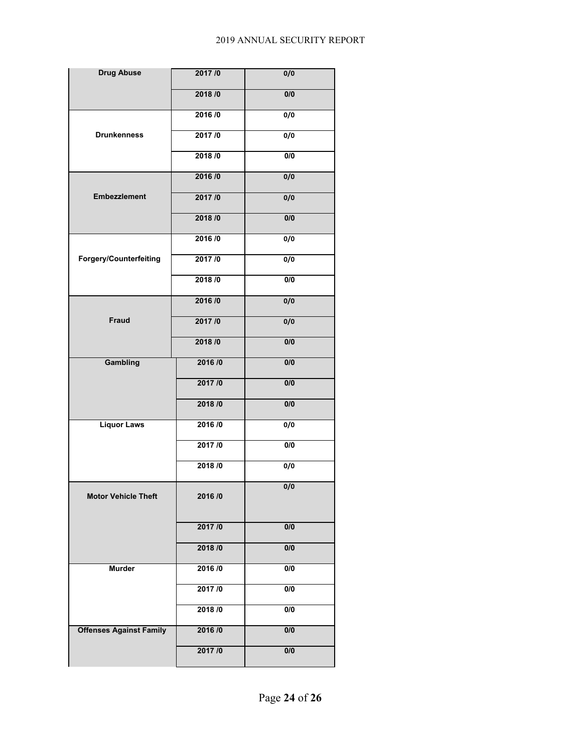| <b>Drug Abuse</b>              | 2017/0 | 0/0              |
|--------------------------------|--------|------------------|
|                                | 2018/0 | 0/0              |
|                                | 2016/0 | $\overline{0/0}$ |
| <b>Drunkenness</b>             | 2017/0 | $\overline{0/0}$ |
|                                | 2018/0 | 0/0              |
|                                | 2016/0 | 0/0              |
| <b>Embezzlement</b>            | 2017/0 | 0/0              |
|                                | 2018/0 | 0/0              |
|                                | 2016/0 | $\overline{0/0}$ |
| <b>Forgery/Counterfeiting</b>  | 2017/0 | 0/0              |
|                                | 2018/0 | 0/0              |
|                                | 2016/0 | 0/0              |
| Fraud                          | 2017/0 | 0/0              |
|                                | 2018/0 | 0/0              |
| Gambling                       | 2016/0 | 0/0              |
|                                | 2017/0 | 0/0              |
|                                | 2018/0 | $\overline{0/0}$ |
| <b>Liquor Laws</b>             | 2016/0 | $\overline{0/0}$ |
|                                | 2017/0 | 0/0              |
|                                | 2018/0 | $\overline{0/0}$ |
| <b>Motor Vehicle Theft</b>     | 2016/0 | 0/0              |
|                                | 2017/0 | 0/0              |
|                                | 2018/0 | $\overline{0/0}$ |
| <b>Murder</b>                  | 2016/0 | $\overline{0/0}$ |
|                                | 2017/0 | 0/0              |
|                                | 2018/0 | 0/0              |
| <b>Offenses Against Family</b> | 2016/0 | $\overline{0/0}$ |
|                                | 2017/0 | 0/0              |